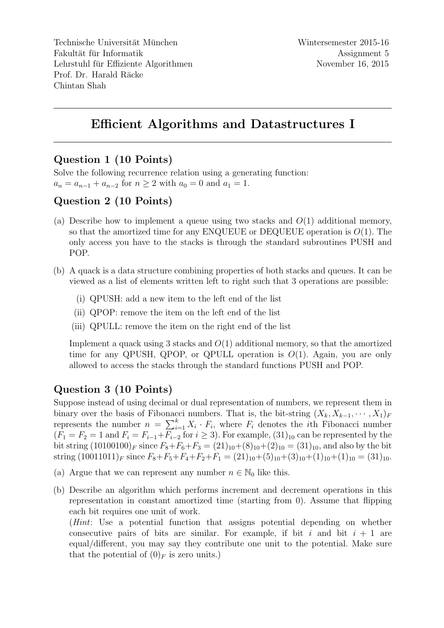Technische Universität München Fakultät für Informatik Lehrstuhl für Effiziente Algorithmen Prof. Dr. Harald Räcke Chintan Shah

## Efficient Algorithms and Datastructures I

#### Question 1 (10 Points)

Solve the following recurrence relation using a generating function:  $a_n = a_{n-1} + a_{n-2}$  for  $n \ge 2$  with  $a_0 = 0$  and  $a_1 = 1$ .

### Question 2 (10 Points)

- (a) Describe how to implement a queue using two stacks and  $O(1)$  additional memory, so that the amortized time for any ENQUEUE or DEQUEUE operation is  $O(1)$ . The only access you have to the stacks is through the standard subroutines PUSH and POP.
- (b) A quack is a data structure combining properties of both stacks and queues. It can be viewed as a list of elements written left to right such that 3 operations are possible:
	- (i) QPUSH: add a new item to the left end of the list
	- (ii) QPOP: remove the item on the left end of the list
	- (iii) QPULL: remove the item on the right end of the list

Implement a quack using 3 stacks and  $O(1)$  additional memory, so that the amortized time for any QPUSH, QPOP, or QPULL operation is  $O(1)$ . Again, you are only allowed to access the stacks through the standard functions PUSH and POP.

### Question 3 (10 Points)

Suppose instead of using decimal or dual representation of numbers, we represent them in binary over the basis of Fibonacci numbers. That is, the bit-string  $(X_k, X_{k-1}, \dots, X_1)_F$ represents the number  $n = \sum_{i=1}^{k} X_i \cdot F_i$ , where  $F_i$  denotes the *i*th Fibonacci number  $(F_1 = F_2 = 1$  and  $F_i = F_{i-1} + \overline{F_{i-2}}$  for  $i \ge 3$ ). For example,  $(31)_{10}$  can be represented by the bit string  $(10100100)<sub>F</sub>$  since  $F_8 + F_6 + F_3 = (21)<sub>10</sub> + (8)<sub>10</sub> + (2)<sub>10</sub> = (31)<sub>10</sub>$ , and also by the bit string  $(10011011)_F$  since  $F_8 + F_5 + F_4 + F_2 + F_1 = (21)_{10} + (5)_{10} + (3)_{10} + (1)_{10} + (1)_{10} = (31)_{10}$ .

- (a) Argue that we can represent any number  $n \in \mathbb{N}_0$  like this.
- (b) Describe an algorithm which performs increment and decrement operations in this representation in constant amortized time (starting from 0). Assume that flipping each bit requires one unit of work.

(Hint: Use a potential function that assigns potential depending on whether consecutive pairs of bits are similar. For example, if bit i and bit  $i + 1$  are equal/different, you may say they contribute one unit to the potential. Make sure that the potential of  $(0)_F$  is zero units.)